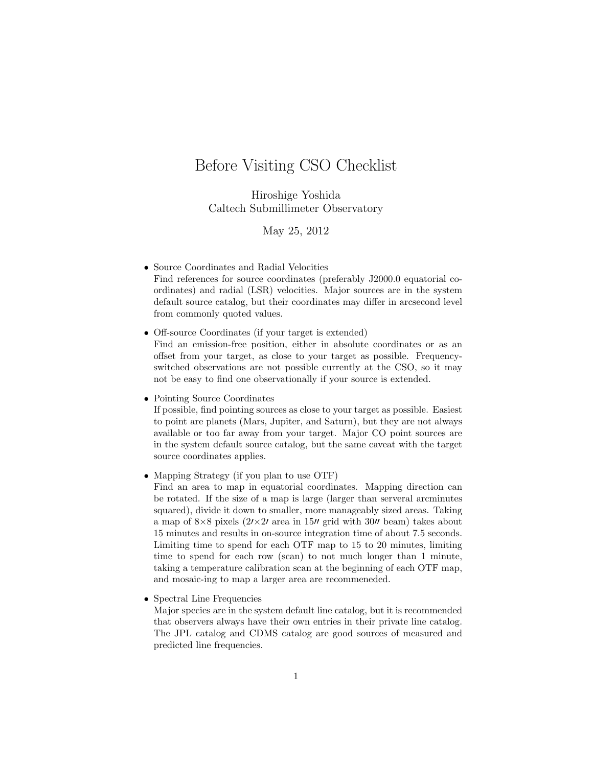## Before Visiting CSO Checklist

Hiroshige Yoshida Caltech Submillimeter Observatory

May 25, 2012

• Source Coordinates and Radial Velocities

Find references for source coordinates (preferably J2000.0 equatorial coordinates) and radial (LSR) velocities. Major sources are in the system default source catalog, but their coordinates may differ in arcsecond level from commonly quoted values.

• Off-source Coordinates (if your target is extended)

Find an emission-free position, either in absolute coordinates or as an offset from your target, as close to your target as possible. Frequencyswitched observations are not possible currently at the CSO, so it may not be easy to find one observationally if your source is extended.

## • Pointing Source Coordinates

If possible, find pointing sources as close to your target as possible. Easiest to point are planets (Mars, Jupiter, and Saturn), but they are not always available or too far away from your target. Major CO point sources are in the system default source catalog, but the same caveat with the target source coordinates applies.

• Mapping Strategy (if you plan to use OTF)

Find an area to map in equatorial coordinates. Mapping direction can be rotated. If the size of a map is large (larger than serveral arcminutes squared), divide it down to smaller, more manageably sized areas. Taking a map of  $8\times8$  pixels  $(2/\times2)$  area in 15 $\prime\prime$  grid with 30 $\prime\prime$  beam) takes about 15 minutes and results in on-source integration time of about 7.5 seconds. Limiting time to spend for each OTF map to 15 to 20 minutes, limiting time to spend for each row (scan) to not much longer than 1 minute, taking a temperature calibration scan at the beginning of each OTF map, and mosaic-ing to map a larger area are recommeneded.

• Spectral Line Frequencies

Major species are in the system default line catalog, but it is recommended that observers always have their own entries in their private line catalog. The JPL catalog and CDMS catalog are good sources of measured and predicted line frequencies.